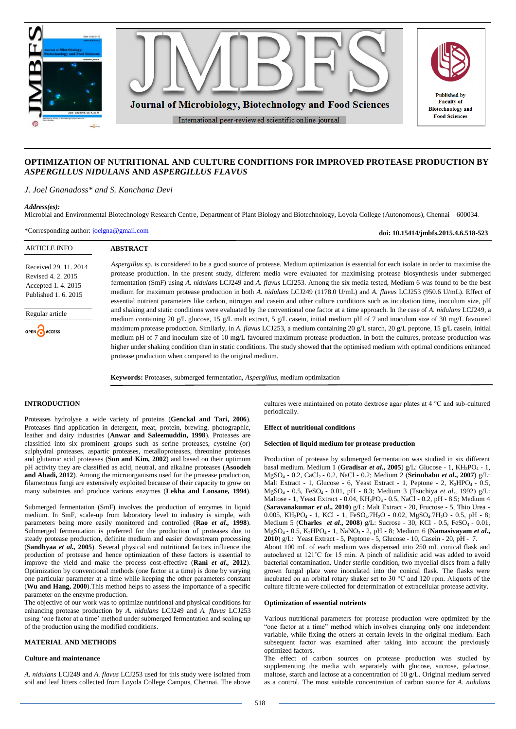

# **OPTIMIZATION OF NUTRITIONAL AND CULTURE CONDITIONS FOR IMPROVED PROTEASE PRODUCTION BY**  *ASPERGILLUS NIDULANS* **AND** *ASPERGILLUS FLAVUS*

## *J. Joel Gnanadoss\* and S. Kanchana Devi*

## *Address(es):*

Microbial and Environmental Biotechnology Research Centre, Department of Plant Biology and Biotechnology, Loyola College (Autonomous), Chennai – 600034.

\*Corresponding author: [joelgna@gmail.com](mailto:joelgna@gmail.com)

**doi: 10.15414/jmbfs.2015.4.6.518-523**

| <b>ARTICLE INFO</b>                                                                      | <b>ABSTRACT</b>                                                                                                                                                                                                                                                                                                                                                                                                                                                                                                                                                                                                                                                                                                                                                                                                                                      |
|------------------------------------------------------------------------------------------|------------------------------------------------------------------------------------------------------------------------------------------------------------------------------------------------------------------------------------------------------------------------------------------------------------------------------------------------------------------------------------------------------------------------------------------------------------------------------------------------------------------------------------------------------------------------------------------------------------------------------------------------------------------------------------------------------------------------------------------------------------------------------------------------------------------------------------------------------|
| Received 29, 11, 2014<br>Revised 4, 2, 2015<br>Accepted 1.4.2015<br>Published 1, 6, 2015 | Aspergillus sp. is considered to be a good source of protease. Medium optimization is essential for each isolate in order to maximise the<br>protease production. In the present study, different media were evaluated for maximising protease biosynthesis under submerged<br>fermentation (SmF) using A. <i>nidulans</i> LCJ249 and A. <i>flavus</i> LCJ253. Among the six media tested, Medium 6 was found to be the best<br>medium for maximum protease production in both A. nidulans LCJ249 (1178.0 U/mL) and A. flavus LCJ253 (950.6 U/mL). Effect of                                                                                                                                                                                                                                                                                         |
| Regular article<br>OPEN CACCESS                                                          | essential nutrient parameters like carbon, nitrogen and casein and other culture conditions such as incubation time, inoculum size, pH<br>and shaking and static conditions were evaluated by the conventional one factor at a time approach. In the case of A. <i>nidulans</i> LCJ249, a<br>medium containing 20 g/L glucose, 15 g/L malt extract, 5 g/L casein, initial medium pH of 7 and inoculum size of 30 mg/L favoured<br>maximum protease production. Similarly, in A. flavus LCJ253, a medium containing 20 g/L starch, 20 g/L peptone, 15 g/L casein, initial<br>medium pH of 7 and inoculum size of 10 mg/L favoured maximum protease production. In both the cultures, protease production was<br>higher under shaking condition than in static conditions. The study showed that the optimised medium with optimal conditions enhanced |
|                                                                                          | protease production when compared to the original medium.                                                                                                                                                                                                                                                                                                                                                                                                                                                                                                                                                                                                                                                                                                                                                                                            |

**Keywords:** Proteases, submerged fermentation, *Aspergillus*, medium optimization

# **INTRODUCTION**

Proteases hydrolyse a wide variety of proteins (**Genckal and Tari, 2006**). Proteases find application in detergent, meat, protein, brewing, photographic, leather and dairy industries (**Anwar and Saleemuddin, 1998**). Proteases are classified into six prominent groups such as serine proteases, cysteine (or) sulphydral proteases, aspartic proteases, metalloproteases, threonine proteases and glutamic acid proteases (**Son and Kim, 2002**) and based on their optimum pH activity they are classified as acid, neutral, and alkaline proteases (**Asoodeh and Abadi, 2012**). Among the microorganisms used for the protease production, filamentous fungi are extensively exploited because of their capacity to grow on many substrates and produce various enzymes (**Lekha and Lonsane, 1994**).

Submerged fermentation (SmF) involves the production of enzymes in liquid medium. In SmF, scale-up from laboratory level to industry is simple, with parameters being more easily monitored and controlled (**Rao** *et al.,* **1998**). Submerged fermentation is preferred for the production of proteases due to steady protease production, definite medium and easier downstream processing (**Sandhyaa** *et al.,* **2005**). Several physical and nutritional factors influence the production of protease and hence optimization of these factors is essential to improve the yield and make the process cost-effective (**Rani** *et al.,* **2012**). Optimization by conventional methods (one factor at a time) is done by varying one particular parameter at a time while keeping the other parameters constant (**Wu and Hang, 2000**).This method helps to assess the importance of a specific parameter on the enzyme production.

The objective of our work was to optimize nutritional and physical conditions for enhancing protease production by *A. nidulans* LCJ249 and *A. flavus* LCJ253 using 'one factor at a time' method under submerged fermentation and scaling up of the production using the modified conditions.

# **MATERIAL AND METHODS**

## **Culture and maintenance**

*A. nidulans* LCJ249 and *A. flavus* LCJ253 used for this study were isolated from soil and leaf litters collected from Loyola College Campus, Chennai. The above cultures were maintained on potato dextrose agar plates at 4 °C and sub-cultured periodically.

## **Effect of nutritional conditions**

## **Selection of liquid medium for protease production**

Production of protease by submerged fermentation was studied in six different basal medium. Medium 1 (**Gradisar** *et al***., 2005**) g/L: Glucose - 1, KH2PO<sup>4</sup> - 1, MgSO<sup>4</sup> - 0.2, CaCl2 - 0.2, NaCl - 0.2; Medium 2 (**Srinubabu** *et al***., 2007**) g/L: Malt Extract - 1, Glucose - 6, Yeast Extract - 1, Peptone - 2, K<sub>2</sub>HPO<sub>4</sub> - 0.5, MgSO4 - 0.5, FeSO4 - 0.01, pH - 8.3; Medium 3 (Tsuchiya *et al*., 1992) g/L: Maltose - 1, Yeast Extract - 0.04, KH<sub>2</sub>PO<sub>4</sub> - 0.5, NaCl - 0.2, pH - 8.5; Medium 4 (**Saravanakumar** *et al***., 2010**) g/L: Malt Extract - 20, Fructose - 5, Thio Urea - 0.005, KH<sub>2</sub>PO<sub>4</sub> - 1, KCl - 1, FeSO<sub>4</sub>.7H<sub>2</sub>O - 0.02, MgSO<sub>4</sub>.7H<sub>2</sub>O - 0.5, pH - 8; Medium 5 (**Charles** *et al.*, 2008) g/L: Sucrose - 30, KCl - 0.5, FeSO<sub>4</sub> - 0.01, MgSO4 - 0.5, K2HPO4 - 1, NaNO3 - 2, pH - 8; Medium 6 (**Namasivayam** *et al***., 2010**) g/L: Yeast Extract - 5, Peptone - 5, Glucose - 10, Casein - 20, pH - 7. About 100 mL of each medium was dispensed into 250 mL conical flask and autoclaved at 121˚C for 15 min. A pinch of nalidixic acid was added to avoid bacterial contamination. Under sterile condition, two mycelial discs from a fully grown fungal plate were inoculated into the conical flask. The flasks were incubated on an orbital rotary shaker set to 30 °C and 120 rpm. Aliquots of the culture filtrate were collected for determination of extracellular protease activity.

### **Optimization of essential nutrients**

Various nutritional parameters for protease production were optimized by the "one factor at a time" method which involves changing only one independent variable, while fixing the others at certain levels in the original medium. Each subsequent factor was examined after taking into account the previously optimized factors.

The effect of carbon sources on protease production was studied by supplementing the media with separately with glucose, sucrose, galactose, maltose, starch and lactose at a concentration of 10 g/L. Original medium served as a control. The most suitable concentration of carbon source for *A. nidulans*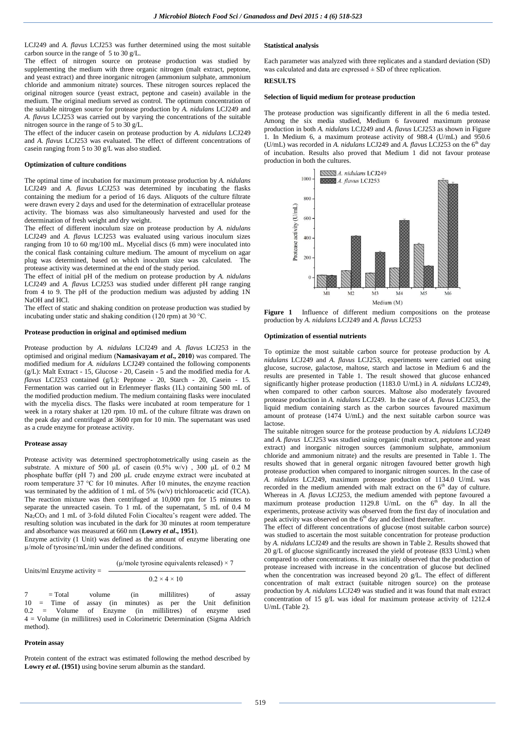LCJ249 and *A. flavus* LCJ253 was further determined using the most suitable carbon source in the range of 5 to 30 g/L.

The effect of nitrogen source on protease production was studied by supplementing the medium with three organic nitrogen (malt extract, peptone, and yeast extract) and three inorganic nitrogen (ammonium sulphate, ammonium chloride and ammonium nitrate) sources. These nitrogen sources replaced the original nitrogen source (yeast extract, peptone and casein) available in the medium. The original medium served as control. The optimum concentration of the suitable nitrogen source for protease production by *A. nidulans* LCJ249 and *A. flavus* LCJ253 was carried out by varying the concentrations of the suitable nitrogen source in the range of 5 to 30 g/L.

The effect of the inducer casein on protease production by *A. nidulans* LCJ249 and *A. flavus* LCJ253 was evaluated. The effect of different concentrations of casein ranging from 5 to 30 g/L was also studied.

## **Optimization of culture conditions**

The optimal time of incubation for maximum protease production by *A. nidulans* LCJ249 and *A. flavus* LCJ253 was determined by incubating the flasks containing the medium for a period of 16 days. Aliquots of the culture filtrate were drawn every 2 days and used for the determination of extracellular protease activity. The biomass was also simultaneously harvested and used for the determination of fresh weight and dry weight.

The effect of different inoculum size on protease production by *A. nidulans* LCJ249 and *A. flavus* LCJ253 was evaluated using various inoculum sizes ranging from 10 to 60 mg/100 mL. Mycelial discs (6 mm) were inoculated into the conical flask containing culture medium. The amount of mycelium on agar plug was determined, based on which inoculum size was calculated. The protease activity was determined at the end of the study period.

The effect of initial pH of the medium on protease production by *A. nidulans* LCJ249 and *A. flavus* LCJ253 was studied under different pH range ranging from 4 to 9. The pH of the production medium was adjusted by adding 1N NaOH and HCl.

The effect of static and shaking condition on protease production was studied by incubating under static and shaking condition (120 rpm) at 30 °C.

### **Protease production in original and optimised medium**

Protease production by *A. nidulans* LCJ249 and *A. flavus* LCJ253 in the optimised and original medium (**Namasivayam** *et al***., 2010**) was compared. The modified medium for *A. nidulans* LCJ249 contained the following components (g/L): Malt Extract - 15, Glucose - 20, Casein - 5 and the modified media for *A. flavus* LCJ253 contained (g/L): Peptone - 20, Starch - 20, Casein - 15. Fermentation was carried out in Erlenmeyer flasks (1L) containing 500 mL of the modified production medium. The medium containing flasks were inoculated with the mycelia discs. The flasks were incubated at room temperature for 1 week in a rotary shaker at 120 rpm. 10 mL of the culture filtrate was drawn on the peak day and centrifuged at 3600 rpm for 10 min. The supernatant was used as a crude enzyme for protease activity.

#### **Protease assay**

Protease activity was determined spectrophotometrically using casein as the substrate. A mixture of 500 μL of casein (0.5% w/v) , 300 μL of 0.2 M phosphate buffer (pH 7) and 200 μL crude enzyme extract were incubated at room temperature 37 °C for 10 minutes. After 10 minutes, the enzyme reaction was terminated by the addition of 1 mL of 5% (w/v) trichloroacetic acid (TCA). The reaction mixture was then centrifuged at 10,000 rpm for 15 minutes to separate the unreacted casein. To 1 mL of the supernatant, 5 mL of 0.4 M Na<sub>2</sub>CO<sub>3</sub> and 1 mL of 3-fold diluted Folin Ciocalteu's reagent were added. The resulting solution was incubated in the dark for 30 minutes at room temperature and absorbance was measured at 660 nm (**Lowry** *et al***., 1951**).

Enzyme activity (1 Unit) was defined as the amount of enzyme liberating one µ/mole of tyrosine/mL/min under the defined conditions.

Units/ml Enzyme activity = 
$$
\frac{(\mu/\text{mole tyrosine equivalents released}) \times 7}{\mu/\text{mole tyrosine equivalents released}}
$$

$$
0.2 \times 4 \times 10
$$

7 = Total volume (in millilitres) of assay<br>10 = Time of assay (in minutes) as per the Unit definition assay (in minutes) 0.2 = Volume of Enzyme (in millilitres) of enzyme used 4 = Volume (in millilitres) used in Colorimetric Determination (Sigma Aldrich method).

#### **Protein assay**

Protein content of the extract was estimated following the method described by **Lowry** *et al***. (1951)** using bovine serum albumin as the standard.

## **Statistical analysis**

Each parameter was analyzed with three replicates and a standard deviation (SD) was calculated and data are expressed  $\pm$  SD of three replication.

# **RESULTS**

## **Selection of liquid medium for protease production**

The protease production was significantly different in all the 6 media tested. Among the six media studied, Medium 6 favoured maximum protease production in both *A. nidulans* LCJ249 and *A. flavus* LCJ253 as shown in Figure 1*.* In Medium 6, a maximum protease activity of 988.4 (U/mL) and 950.6 (U/mL) was recorded in *A. nidulans* LCJ249 and *A. flavus* LCJ253 on the 6<sup>th</sup> day of incubation. Results also proved that Medium 1 did not favour protease production in both the cultures.



**Figure 1** Influence of different medium compositions on the protease production by *A. nidulans* LCJ249 and *A. flavus* LCJ253

## **Optimization of essential nutrients**

To optimize the most suitable carbon source for protease production by *A. nidulans* LCJ249 and *A. flavus* LCJ253, experiments were carried out using glucose, sucrose, galactose, maltose, starch and lactose in Medium 6 and the results are presented in Table 1. The result showed that glucose enhanced significantly higher protease production (1183.0 U/mL) in *A. nidulans* LCJ249, when compared to other carbon sources. Maltose also moderately favoured protease production in *A. nidulans* LCJ249. In the case of *A. flavus* LCJ253, the liquid medium containing starch as the carbon sources favoured maximum amount of protease  $(1474 \text{ U/mL})$  and the next suitable carbon source was lactose.

The suitable nitrogen source for the protease production by *A. nidulans* LCJ249 and *A. flavus* LCJ253 was studied using organic (malt extract, peptone and yeast extract) and inorganic nitrogen sources (ammonium sulphate, ammonium chloride and ammonium nitrate) and the results are presented in Table 1. The results showed that in general organic nitrogen favoured better growth high protease production when compared to inorganic nitrogen sources. In the case of *A. nidulans* LCJ249, maximum protease production of 1134.0 U/mL was recorded in the medium amended with malt extract on the  $6<sup>th</sup>$  day of culture. Whereas in *A. flavus* LCJ253, the medium amended with peptone favoured a maximum protease production 1129.8 U/mL on the  $6<sup>th</sup>$  day. In all the experiments, protease activity was observed from the first day of inoculation and peak activity was observed on the 6<sup>th</sup> day and declined thereafter.

The effect of different concentrations of glucose (most suitable carbon source) was studied to ascertain the most suitable concentration for protease production by *A. nidulans* LCJ249 and the results are shown in Table 2. Results showed that 20 g/L of glucose significantly increased the yield of protease (833 U/mL) when compared to other concentrations. It was initially observed that the production of protease increased with increase in the concentration of glucose but declined when the concentration was increased beyond 20 g/L. The effect of different concentration of malt extract (suitable nitrogen source) on the protease production by *A. nidulans* LCJ249 was studied and it was found that malt extract concentration of 15 g/L was ideal for maximum protease activity of 1212.4 U/mL (Table 2).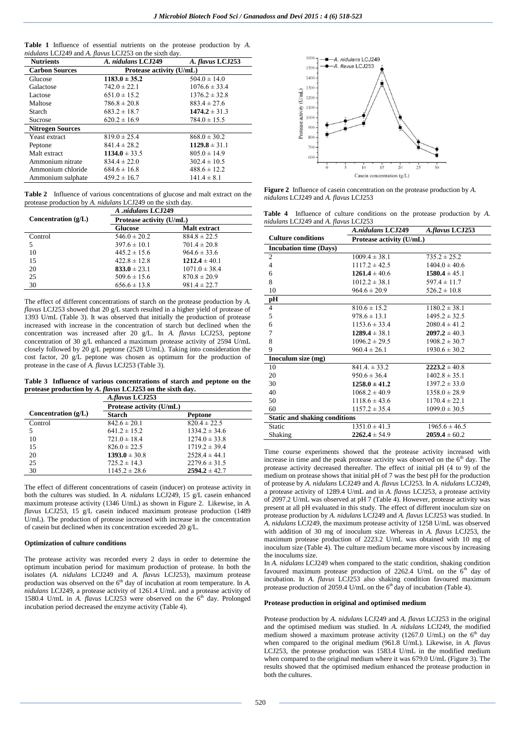|  |                                                                      |  |  |  | <b>Table 1</b> Influence of essential nutrients on the protease production by A. |  |
|--|----------------------------------------------------------------------|--|--|--|----------------------------------------------------------------------------------|--|
|  | <i>nidulans</i> LCJ249 and A. <i>flavus</i> LCJ253 on the sixth day. |  |  |  |                                                                                  |  |

| <b>Nutrients</b>        | A. nidulans LCJ249       | A. flavus LCJ253  |
|-------------------------|--------------------------|-------------------|
| <b>Carbon Sources</b>   | Protease activity (U/mL) |                   |
| Glucose                 | $1183.0 \pm 35.2$        | $504.0 \pm 14.0$  |
| Galactose               | $742.0 \pm 22.1$         | $1076.6 \pm 33.4$ |
| Lactose                 | $651.0 \pm 15.2$         | $1376.2 \pm 32.8$ |
| Maltose                 | $786.8 \pm 20.8$         | $883.4 \pm 27.6$  |
| Starch                  | $683.2 \pm 18.7$         | $1474.2 \pm 31.3$ |
| Sucrose                 | $620.2 \pm 16.9$         | $784.0 \pm 15.5$  |
| <b>Nitrogen Sources</b> |                          |                   |
| Yeast extract           | $819.0 \pm 25.4$         | $868.0 \pm 30.2$  |
| Peptone                 | $841.4 \pm 28.2$         | $1129.8 \pm 31.1$ |
| Malt extract            | $1134.0 \pm 33.5$        | $805.0 \pm 14.9$  |
| Ammonium nitrate        | $834.4 \pm 22.0$         | $302.4 \pm 10.5$  |
| Ammonium chloride       | $684.6 \pm 16.8$         | $488.6 \pm 12.2$  |
| Ammonium sulphate       | $459.2 \pm 16.7$         | $141.4 \pm 8.1$   |

**Table 2** Influence of various concentrations of glucose and malt extract on the protease production by *A. nidulans* LCJ249 on the sixth day.

|                       | A .nidulans LCJ249<br>Protease activity (U/mL) |                     |  |  |
|-----------------------|------------------------------------------------|---------------------|--|--|
| Concentration $(g/L)$ |                                                |                     |  |  |
|                       | <b>Glucose</b>                                 | <b>Malt</b> extract |  |  |
| Control               | $546.0 \pm 20.2$                               | $884.8 \pm 22.5$    |  |  |
| 5                     | $397.6 \pm 10.1$                               | $701.4 \pm 20.8$    |  |  |
| 10                    | $445.2 \pm 15.6$                               | $964.6 \pm 33.6$    |  |  |
| 15                    | $422.8 \pm 12.8$                               | $1212.4 \pm 40.1$   |  |  |
| 20                    | $833.0 \pm 23.1$                               | $1071.0 \pm 38.4$   |  |  |
| 25                    | $509.6 \pm 15.6$                               | $870.8 \pm 20.9$    |  |  |
| 30                    | $656.6 \pm 13.8$                               | $981.4 \pm 22.7$    |  |  |
|                       |                                                |                     |  |  |

The effect of different concentrations of starch on the protease production by *A. flavus* LCJ253 showed that 20 g/L starch resulted in a higher yield of protease of 1393 U/mL (Table 3). It was observed that initially the production of protease increased with increase in the concentration of starch but declined when the concentration was increased after 20 g/L. In *A. flavus* LCJ253, peptone concentration of 30 g/L enhanced a maximum protease activity of 2594 U/mL closely followed by 20 g/L peptone (2528 U/mL). Taking into consideration the cost factor, 20 g/L peptone was chosen as optimum for the production of protease in the case of *A. flavus* LCJ253 (Table 3).

**Table 3 Influence of various concentrations of starch and peptone on the protease production by** *A. flavus* **LCJ253 on the sixth day.**

|                       | A.flavus LCJ253          |                   |  |
|-----------------------|--------------------------|-------------------|--|
|                       | Protease activity (U/mL) |                   |  |
| Concentration $(g/L)$ | <b>Starch</b>            | Peptone           |  |
| Control               | $842.6 \pm 20.1$         | $820.4 \pm 22.5$  |  |
| 5                     | $641.2 \pm 15.2$         | $1334.2 \pm 34.6$ |  |
| 10                    | $721.0 \pm 18.4$         | $1274.0 \pm 33.8$ |  |
| 15                    | $826.0 \pm 22.5$         | $1719.2 \pm 39.4$ |  |
| 20                    | $1393.0 \pm 30.8$        | $2528.4 \pm 44.1$ |  |
| 25                    | $725.2 \pm 14.3$         | $2279.6 \pm 31.5$ |  |
| 30                    | $1145.2 \pm 28.6$        | $2594.2 \pm 42.7$ |  |

The effect of different concentrations of casein (inducer) on protease activity in both the cultures was studied. In *A. nidulans* LCJ249, 15 g/L casein enhanced maximum protease activity (1346 U/mL) as shown in Figure 2. Likewise, in *A. flavus* LCJ253, 15 g/L casein induced maximum protease production (1489 U/mL). The production of protease increased with increase in the concentration of casein but declined when its concentration exceeded 20 g/L.

## **Optimization of culture conditions**

The protease activity was recorded every 2 days in order to determine the optimum incubation period for maximum production of protease. In both the isolates (*A. nidulans* LCJ249 and *A. flavus* LCJ253), maximum protease production was observed on the 6<sup>th</sup> day of incubation at room temperature. In *A*. *nidulans* LCJ249, a protease activity of 1261.4 U/mL and a protease activity of 1580.4 U/mL in *A. flavus* LCJ253 were observed on the 6<sup>th</sup> day. Prolonged incubation period decreased the enzyme activity (Table 4).



**Figure 2** Influence of casein concentration on the protease production by *A. nidulans* LCJ249 and *A. flavus* LCJ253

**Table 4** Influence of culture conditions on the protease production by *A. nidulans* LCJ249 and *A. flavus* LCJ253

|                                      | <b>A.nidulans LCJ249</b> | A.flavus LCJ253   |  |  |
|--------------------------------------|--------------------------|-------------------|--|--|
| <b>Culture conditions</b>            | Protease activity (U/mL) |                   |  |  |
| <b>Incubation time (Days)</b>        |                          |                   |  |  |
| $\overline{2}$                       | $1009.4 \pm 38.1$        | $735.2 \pm 25.2$  |  |  |
| $\overline{4}$                       | $1117.2 \pm 42.5$        | $1404.0 \pm 40.6$ |  |  |
| 6                                    | $1261.4 \pm 40.6$        | $1580.4 \pm 45.1$ |  |  |
| 8                                    | $1012.2 \pm 38.1$        | $597.4 \pm 11.7$  |  |  |
| 10                                   | $964.6 \pm 20.9$         | $526.2 \pm 10.8$  |  |  |
| pH                                   |                          |                   |  |  |
| $\overline{4}$                       | $810.6 \pm 15.2$         | $1180.2 \pm 38.1$ |  |  |
| 5                                    | $978.6 \pm 13.1$         | $1495.2 \pm 32.5$ |  |  |
| 6                                    | $1153.6 \pm 33.4$        | $2080.4 \pm 41.2$ |  |  |
| 7                                    | $1289.4 \pm 38.1$        | $2097.2 \pm 40.3$ |  |  |
| 8                                    | $1096.2 \pm 29.5$        | $1908.2 \pm 30.7$ |  |  |
| 9                                    | $960.4 \pm 26.1$         | $1930.6 \pm 30.2$ |  |  |
| Inoculum size (mg)                   |                          |                   |  |  |
| 10                                   | $841.4 \pm 33.2$         | $2223.2 \pm 40.8$ |  |  |
| 20                                   | $950.6 \pm 36.4$         | $1402.8 \pm 35.1$ |  |  |
| 30                                   | $1258.0 \pm 41.2$        | $1397.2 \pm 33.0$ |  |  |
| 40                                   | $1068.2 \pm 40.9$        | $1358.0 \pm 28.9$ |  |  |
| 50                                   | $1118.6 \pm 43.6$        | $1170.4 \pm 22.1$ |  |  |
| 60                                   | $1157.2 \pm 35.4$        | $1099.0 \pm 30.5$ |  |  |
| <b>Static and shaking conditions</b> |                          |                   |  |  |
| Static                               | $1351.0 \pm 41.3$        | $1965.6 \pm 46.5$ |  |  |
| Shaking                              | $2262.4 \pm 54.9$        | $2059.4 \pm 60.2$ |  |  |
|                                      |                          |                   |  |  |

Time course experiments showed that the protease activity increased with increase in time and the peak protease activity was observed on the  $6<sup>th</sup>$  day. The protease activity decreased thereafter. The effect of initial pH (4 to 9) of the medium on protease shows that initial pH of 7 was the best pH for the production of protease by *A. nidulans* LCJ249 and *A. flavus* LCJ253*.* In *A. nidulans* LCJ249, a protease activity of 1289.4 U/mL and in *A. flavus* LCJ253, a protease activity of 2097.2 U/mL was observed at pH 7 (Table 4). However, protease activity was present at all pH evaluated in this study. The effect of different inoculum size on protease production by *A. nidulans* LCJ249 and *A. flavus* LCJ253 was studied. In *A. nidulans* LCJ249, the maximum protease activity of 1258 U/mL was observed with addition of 30 mg of inoculum size. Whereas in *A. flavus* LCJ253, the maximum protease production of 2223.2 U/mL was obtained with 10 mg of inoculum size (Table 4). The culture medium became more viscous by increasing the inoculums size.

In *A. nidulans* LCJ249 when compared to the static condition, shaking condition favoured maximum protease production of 2262.4 U/mL on the  $6<sup>th</sup>$  day of incubation. In *A. flavus* LCJ253 also shaking condition favoured maximum protease production of 2059.4 U/mL on the  $6<sup>th</sup>$  day of incubation (Table 4).

#### **Protease production in original and optimised medium**

Protease production by *A. nidulans* LCJ249 and *A. flavus* LCJ253 in the original and the optimised medium was studied. In *A. nidulans* LCJ249, the modified medium showed a maximum protease activity (1267.0 U/mL) on the  $6<sup>th</sup>$  day when compared to the original medium (961.8 U/mL). Likewise, in *A. flavus*  LCJ253, the protease production was 1583.4 U/mL in the modified medium when compared to the original medium where it was 679.0 U/mL (Figure 3). The results showed that the optimised medium enhanced the protease production in both the cultures.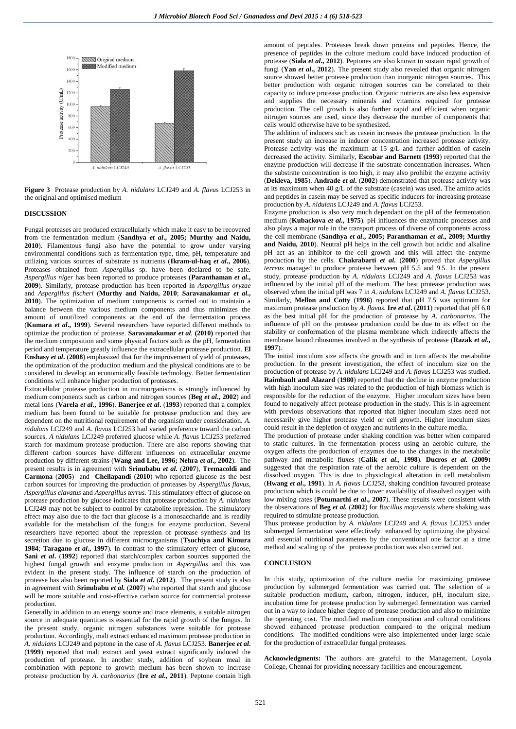



## **DISCUSSION**

Fungal proteases are produced extracellularly which make it easy to be recovered from the fermentation medium (**Sandhya** *et al***., 2005; Murthy and Naidu, 2010**). Filamentous fungi also have the potential to grow under varying environmental conditions such as fermentation type, time, pH, temperature and utilizing various sources of substrate as nutrients (**Ikram-ul-haq** *et al***., 2006**). Proteases obtained from *Aspergillus* sp. have been declared to be safe. *Aspergillus niger* has been reported to produce proteases (**Paranthaman** *et al***., 2009**). Similarly, protease production has been reported in *Aspergillus oryzae* and *Aspergillus fischeri* (**Murthy and Naidu, 2010**; **Saravanakumar** *et al***., 2010**). The optimization of medium components is carried out to maintain a balance between the various medium components and thus minimizes the amount of unutilized components at the end of the fermentation process (**Kumara** *et al***., 1999**). Several researchers have reported different methods to optimize the production of protease. **Saravanakumar** *et al.* **(2010)** reported that the medium composition and some physical factors such as the pH, fermentation period and temperature greatly influence the extracellular protease production. **El Enshasy** *et al.* (2008) emphasized that for the improvement of yield of proteases, the optimization of the production medium and the physical conditions are to be considered to develop an economically feasible technology. Better fermentation conditions will enhance higher production of proteases.

Extracellular protease production in microorganisms is strongly influenced by medium components such as carbon and nitrogen sources (**Beg** *et al***., 2002**) and metal ions (**Varela** *et al***., 1996**). **Banerjee** *et al***.** (**1993**) reported that a complex medium has been found to be suitable for protease production and they are dependent on the nutritional requirement of the organism under consideration. *A. nidulans* LCJ249 and *A. flavus* LCJ253 had varied preference toward the carbon sources. *A nidulans* LCJ249 preferred glucose while *A. flavus* LCJ253 preferred starch for maximum protease production. There are also reports showing that different carbon sources have different influences on extracellular enzyme production by different strains (**Wang and Lee, 1996; Nehra** *et al***., 2002**). The present results is in agreement with **Srinubabu** *et al.* (**2007**), **Tremacoldi and Carmona** (**2005**) and **Chellapandi** (**2010**) who reported glucose as the best carbon sources for improving the production of proteases by *Aspergillus flavus*, *Aspergillus clavatus* and *Aspergillus terrus.* This stimulatory effect of glucose on protease production by glucose indicates that protease production by *A*. *nidulans* LCJ249 may not be subject to control by catabolite repression. The stimulatory effect may also due to the fact that glucose is a monosaccharide and is readily available for the metabolism of the fungus for enzyme production. Several researchers have reported about the repression of protease synthesis and its secretion due to glucose in different microorganisms (**Tsuchiya and Kimura 1984**; **Taragano** *et al***., 1997**). In contrast to the stimulatory effect of glucose, **Sani** *et al***.** (1992) reported that starch/complex carbon sources supported the highest fungal growth and enzyme production in *Aspergillus* and this was evident in the present study. The influence of starch on the production of protease has also been reported by **Siala** *et al***.** (**2012**). The present study is also in agreement with **Srinubabu** *et al.* (**2007**) who reported that starch and glucose will be more suitable and cost-effective carbon source for commercial protease production.

Generally in addition to an energy source and trace elements, a suitable nitrogen source in adequate quantities is essential for the rapid growth of the fungus. In the present study, organic nitrogen substances were suitable for protease production. Accordingly, malt extract enhanced maximum protease production in *A. nidulans* LCJ249 and peptone in the case of *A. flavus* LCJ253. **Banerjee** *et al***.** (**1999**) reported that malt extract and yeast extract significantly induced the production of protease. In another study, addition of soybean meal in combination with peptone to growth medium has been shown to increase protease production by *A. carbonarius* (**Ire** *et al***., 2011**). Peptone contain high

amount of peptides. Proteases break down proteins and peptides. Hence, the presence of peptides in the culture medium could have induced production of protease (**Siala** *et al***., 2012**). Peptones are also known to sustain rapid growth of fungi (**Yan** *et al***., 2012**). The present study also revealed that organic nitrogen source showed better protease production than inorganic nitrogen sources. This better production with organic nitrogen sources can be correlated to their capacity to induce protease production. Organic nutrients are also less expensive and supplies the necessary minerals and vitamins required for protease production. The cell growth is also further rapid and efficient when organic nitrogen sources are used, since they decrease the number of components that cells would otherwise have to be synthesized.

The addition of inducers such as casein increases the protease production. In the present study an increase in inducer concentration increased protease activity. Protease activity was the maximum at 15 g/L and further addition of casein decreased the activity. Similarly, **Escobar and Barnett (1993**) reported that the enzyme production will decrease if the substrate concentration increases. When the substrate concentration is too high, it may also prohibit the enzyme activity (**Dekleva, 1985**). **Andrade** *et al***.** (**2002**) demonstrated that protease activity was at its maximum when 40 g/L of the substrate (casein) was used. The amino acids and peptides in casein may be served as specific inducers for increasing protease production by *A. nidulans* LCJ249 and *A. flavus* LCJ253.

Enzyme production is also very much dependant on the pH of the fermentation medium (**Kubackova** *et al***., 1975**). pH influences the enzymatic processes and also plays a major role in the transport process of diverse of components across the cell membrane (**Sandhya** *et al***., 2005; Paranthaman** *et al***., 2009; Murthy and Naidu, 2010**). Neutral pH helps in the cell growth but acidic and alkaline pH act as an inhibitor to the cell growth and this will affect the enzyme production by the cells. **Chakrabarti** *et al***.** (**2000**) proved that *Aspergillus terreus* managed to produce protease between pH 5.5 and 9.5. In the present study, protease production by *A. nidulans* LCJ249 and *A. flavus* LCJ253 was influenced by the initial pH of the medium. The best protease production was observed when the initial pH was 7 in *A. nidulans* LCJ249 and *A. flavus* LCJ253. Similarly, **Mellon and Cotty** (**1996**) reported that pH 7.5 was optimum for maximum protease production by *A. flavus*. **Ire** *et al***.** (**2011**) reported that pH 6.0 as the best initial pH for the production of protease by *A. carbonarius*. The influence of pH on the protease production could be due to its effect on the stability or conformation of the plasma membrane which indirectly affects the membrane bound ribosomes involved in the synthesis of protease (**Razak** *et al***., 1997**).

The initial inoculum size affects the growth and in turn affects the metabolite production. In the present investigation, the effect of inoculum size on the production of protease by *A. nidulans* LCJ249 and *A. flavus* LCJ253 was studied. **Raimbault and Alazard** (**1980**) reported that the decline in enzyme production with high inoculum size was related to the production of high biomass which is responsible for the reduction of the enzyme. Higher inoculum sizes have been found to negatively affect protease production in the study. This is in agreement with previous observations that reported that higher inoculum sizes need not necessarily give higher protease yield or cell growth. Higher inoculum sizes could result in the depletion of oxygen and nutrients in the culture media.

The production of protease under shaking condition was better when compared to static cultures. In the fermentation process using an aerobic culture, the oxygen affects the production of enzymes due to the changes in the metabolic pathway and metabolic fluxes (**Calik** *et al***., 1998**). **Ducros** *et al.* (**2009**) suggested that the respiration rate of the aerobic culture is dependent on the dissolved oxygen. This is due to physiological alteration in cell metabolism (**Hwang** *et al***., 1991**). In *A. flavus* LCJ253, shaking condition favoured protease production which is could be due to lower availability of dissolved oxygen with low mixing rates (**Potumarthi** *et al***., 2007**). These results were consistent with the observations of **Beg** *et al.* (**2002**) for *Bacillus mojavensis* where shaking was required to stimulate protease production.

Thus protease production by *A. nidulans* LCJ249 and *A. flavus* LCJ253 under submerged fermentation were effectively enhanced by optimizing the physical and essential nutritional parameters by the conventional one factor at a time method and scaling up of the protease production was also carried out.

## **CONCLUSION**

In this study, optimization of the culture media for maximizing protease production by submerged fermentation was carried out. The selection of a suitable production medium, carbon, nitrogen, inducer, pH, inoculum size, incubation time for protease production by submerged fermentation was carried out in a way to induce higher degree of protease production and also to minimize the operating cost. The modified medium composition and cultural conditions showed enhanced protease production compared to the original medium conditions. The modified conditions were also implemented under large scale for the production of extracellular fungal proteases.

**Acknowledgments:** The authors are grateful to the Management, Loyola College, Chennai for providing necessary facilities and encouragement.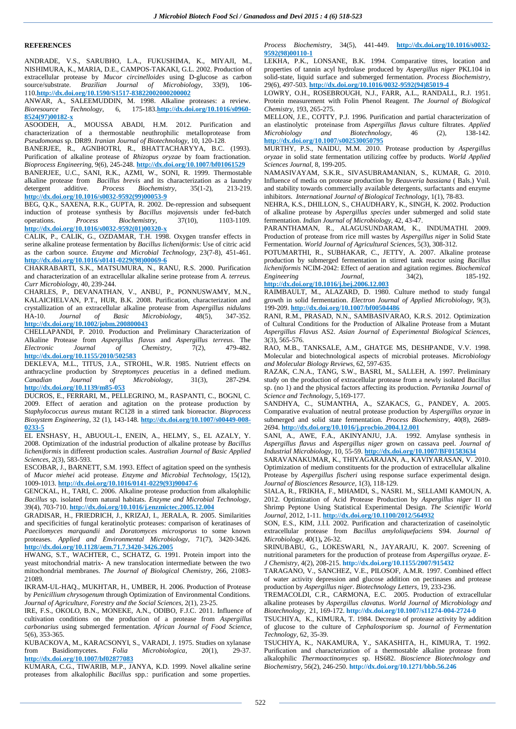## **REFERENCES**

ANDRADE, V.S., SARUBHO, L.A., FUKUSHIMA, K., MIYAJI, M., NISHIMURA, K., MARIA, D.E., CAMPOS-TAKAKI, G.L. 2002. Production of extracellular protease by *Mucor circinelloides* using D-glucose as carbon source/substrate. *Brazilian Journal of Microbiology*, 33(9), 106- 110.**[http://dx.doi.org/10.1590/S1517-83822002000200002](http://dx.doi.org/10.1590/S1517-83822002000200002 )**

ANWAR, A., SALEEMUDDIN, M. 1998. Alkaline proteases: a review.<br>Bioresource Technology, 6, 175-183.http://dx.doi.org/10.1016/s0960-*Bioresource Technology*, 6, 175-183.**[http://dx.doi.org/10.1016/s0960-](http://dx.doi.org/10.1016/s0960-8524%2897%2900182-x) [8524\(97\)00182-x](http://dx.doi.org/10.1016/s0960-8524%2897%2900182-x)** 

ASOODEH, A., MOUSSA ABADI, H.M. 2012. Purification and characterization of a thermostable neuthrophilic metalloprotease from *Pseudomonas* sp. DR89. *Iranian Journal of Biotechnology,* 10, 120-128.

BANERJEE, R., AGNIHOTRI, R., BHATTACHARYYA, B.C. (1993). Purification of alkaline protease of *Rhizopus oryzae* by foam fractionation. *Bioprocess Engineering,* 9(6), 245-248. **<http://dx.doi.org/10.1007/bf01061529>**

BANERJEE, U.C., SANI, R.K., AZMI, W., SONI, R. 1999. Thermostable alkaline protease from *Bacillus brevis* and its characterization as a laundry detergent additive. *Process Biochemistry*, 35(1-2), 213-219. **[http://dx.doi.org/10.1016/s0032-9592\(99\)00053-9](http://dx.doi.org/10.1016/s0032-9592(99)00053-9)**

BEG, Q.K., SAXENA, R.K., GUPTA, R. 2002. De-repression and subsequent induction of protease synthesis by *Bacillus mojavensis* under fed-batch operations. *Process Biochemistry,* 37(10), 1103-1109. **[http://dx.doi.org/10.1016/s0032-9592\(01\)00320-x](http://dx.doi.org/10.1016/s0032-9592%2801%2900320-x)**

CALIK, P., CALIK, G., OZDAMAR, T.H. 1998. Oxygen transfer effects in serine alkaline protease fermentation by *Bacillus licheniformis*: Use of citric acid as the carbon source. *Enzyme and Microbial Technology,* 23(7-8), 451-461. **[http://dx.doi.org/10.1016/s0141-0229\(98\)00069-6](http://dx.doi.org/10.1016/s0141-0229(98)00069-6)**

CHAKRABARTI, S.K., MATSUMURA, N., RANU, R.S. 2000. Purification and characterization of an extracellular alkaline serine protease from *A. terreus. Curr Microbiology,* 40, 239-244.

CHARLES, P., DEVANATHAN, V., ANBU, P., PONNUSWAMY, M.N., KALAICHELVAN, P.T., HUR, B.K. 2008. Purification, characterization and crystallization of an extracellular alkaline protease from *Aspergillus nidulans*  $\overline{\text{Microbiology}}$ **<http://dx.doi.org/10.1002/jobm.200800043>**

CHELLAPANDI, P. 2010. Production and Preliminary Characterization of Alkaline Protease from *Aspergillus flavus* and *Aspergillus terreus*. The *Electronic Journal of Chemistry,* 7(2), 479-482. **<http://dx.doi.org/10.1155/2010/502583>**

DEKLEVA, M.L., TITUS, J.A., STROHL, W.R. 1985. Nutrient effects on anthracycline production by *Streptomyces peucetius* in a defined medium. *Canadian Journal of Microbiology,* 31(3), 287-294. **<http://dx.doi.org/10.1139/m85-053>**

DUCROS, E., FERRARI, M., PELLEGRINO, M., RASPANTI, C., BOGNI, C. 2009. Effect of aeration and agitation on the protease production by S*taphylococcus aureus* mutant RC128 in a stirred tank bioreactor. *Bioprocess Biosystem Engineering*, 32 (1), 143-148. **[http://dx.doi.org/10.1007/s00449-008-](http://dx.doi.org/10.1007/s00449-008-0233-5) [0233-5](http://dx.doi.org/10.1007/s00449-008-0233-5)** 

EL ENSHASY, H., ABUOUL-I., ENEIN, A., HELMY, S., EL AZALY, Y. 2008. Optimization of the industrial production of alkaline protease by *Bacillus licheniformis* in different production scales. *Australian Journal of Basic Applied Sciences,* 2(3), 583-593.

ESCOBAR, J., BARNETT, S.M. 1993. Effect of agitation speed on the synthesis of *Mucor miehei* acid protease. *Enzyme and Microbial Technology,* 15(12), 1009-1013. **[http://dx.doi.org/10.1016/0141-0229\(93\)90047-6](http://dx.doi.org/10.1016/0141-0229%2893%2990047-6)**

GENCKAL, H., TARI, C. 2006. Alkaline protease production from alkalophilic *Bacillus* sp. isolated from natural habitats. *Enzyme and Microbial Technology*, 39(4), 703-710. **<http://dx.doi.org/10.1016/j.enzmictec.2005.12.004>**

GRADISAR, H., FRIEDRICH, J., KRIZAJ, I., JERALA, R. 2005. Similarities and specificities of fungal keratinolytic proteases: comparison of keratinases of *Paecilomyces marquandii* and *Doratomyces microsporus* to some known proteases. *Applied and Environmental Microbiology,* 71(7), 3420-3426. **<http://dx.doi.org/10.1128/aem.71.7.3420-3426.2005>**

HWANG, S.T., WACHTER, C., SCHATZ, G. 1991. Protein import into the yeast mitochondrial matrix- A new translocation intermediate between the two mitochondrial membranes. *The Journal of Biological Chemistry,* 266, 21083- 21089.

IKRAM-UL-HAQ., MUKHTAR, H., UMBER, H. 2006. Production of Protease by *Penicillium chrysogenum* through Optimization of Environmental Conditions. *Journal of Agriculture, Forestry and the Social Sciences,* 2(1), 23-25.

IRE, F.S., OKOLO, B.N., MONEKE, A.N., ODIBO, F.J.C. 2011. Influence of cultivation conditions on the production of a protease from *Aspergillus carbonarius* using submerged fermentation. *African Journal of Food Science*, 5(6), 353-365.

KUBACKOVA, M., KARACSONYI, S., VARADI, J. 1975. Studies on xylanase<br>from Basidiomycetes. Folia Microbiologica, 20(1), 29-37. from Basidiomycetes. *Folia Microbiologica*, 20(1), 29-37. **<http://dx.doi.org/10.1007/bf02877083>**

KUMARA, C.G., TIWARIB, M.P., JANYA, K.D. 1999. Novel alkaline serine proteases from alkalophilic *Bacillus* spp.: purification and some properties.

*Process Biochemistry*, 34(5), 441-449. **[http://dx.doi.org/10.1016/s0032-](http://dx.doi.org/10.1016/s0032-9592%2898%2900110-1) [9592\(98\)00110-1](http://dx.doi.org/10.1016/s0032-9592%2898%2900110-1)**

LEKHA, P.K., LONSANE, B.K. 1994. Comparative titres, location and properties of tannin acyl hydrolase produced by *Aspergillus niger* PKL104 in solid-state, liquid surface and submerged fermentation. *Process Biochemistry,*  29(6), 497-503. **[http://dx.doi.org/10.1016/0032-9592\(94\)85019-4](http://dx.doi.org/10.1016/0032-9592%2894%2985019-4)**

LOWRY, O.H., ROSEBROUGH, N.J., FARR, A.L., RANDALL, R.J. 1951. Protein measurement with Folin Phenol Reagent. *The Journal of Biological Chemistry,* 193, 265-275.

MELLON, J.E., COTTY, P.J. 1996. Purification and partial characterization of an elastinolytic proteinase from *Aspergillus flavus* culture filtrates. *Applied Microbiology and Biotechnology,* 46 (2), 138-142. **<http://dx.doi.org/10.1007/s002530050795>**

MURTHY, P.S., NAIDU, M.M. 2010. Protease production by *Aspergillus oryzae* in solid state fermentation utilizing coffee by products*. World Applied Sciences Journal,* 8, 199-205.

NAMASIVAYAM, S.K.R., SIVASUBRAMANIAN, S., KUMAR, G. 2010. Influence of media on protease production by *Beauveria bassiana* ( Bals.) Vuil. and stability towards commercially available detergents, surfactants and enzyme inhibitors. *International Journal of Biological Technology,* 1(1), 78-83.

NEHRA, K.S., DHILLON, S., CHAUDHARY, K., SINGH, K. 2002. Production of alkaline protease by *Aspergillus species* under submerged and solid state fermentation. *Indian Journal of Microbiology*, 42, 43-47.

PARANTHAMAN, R., ALAGUSUNDARAM, K., INDUMATHI. 2009. Production of protease from rice mill wastes by *Aspergillus niger* in Solid State Fermentation. *World Journal of Agricultural Sciences,* 5(3), 308-312.

POTUMARTHI, R., SUBHAKAR, C., JETTY, A. 2007. Alkaline protease production by submerged fermentation in stirred tank reactor using *Bacillus licheniformis* NCIM-2042: Effect of aeration and agitation regimes. *Biochemical Engineering Journal*, 34(2), 185-192.

# **<http://dx.doi.org/10.1016/j.bej.2006.12.003>**

RAIMBAULT, M., ALAZARD, D. 1980. Culture method to study fungal growth in solid fermentation. *Electron Journal of Applied Microbiology,* 9(3), 199-209. **<http://dx.doi.org/10.1007/bf00504486>**

RANI, R.M., PRASAD, N.N., SAMBASIVARAO, K.R.S. 2012. Optimization of Cultural Conditions for the Production of Alkaline Protease from a Mutant *Aspergillus Flavus* AS2. *Asian Journal of Experimental Biological Sciences,* 3(3), 565-576.

RAO, M.B., TANKSALE, A.M., GHATGE MS, DESHPANDE, V.V. 1998. Molecular and biotechnological aspects of microbial proteases. *Microbiology and Molecular Biology Reviews,* 62, 597-635.

RAZAK, C.N.A., TANG, S.W., BASRI, M., SALLEH, A. 1997. Preliminary study on the production of extracellular protease from a newly isolated *Bacillus*  sp. (no 1) and the physical factors affecting its production. *Pertanika Journal of Science and Technology,* 5,169-177.

SANDHYA, C., SUMANTHA, A., SZAKACS, G., PANDEY, A. 2005. Comparative evaluation of neutral protease production by *Aspergillus oryzae* in submerged and solid state fermentation. *Process Biochemistry,* 40(8), 2689- 2694. **<http://dx.doi.org/10.1016/j.procbio.2004.12.001>**

SANI, A., AWE, F.A., AKINYANJU, J.A. 1992. Amylase synthesis in *Aspergillus flavus* and *Aspergillus niger* grown on cassava peel. *Journal of Industrial Microbiology*, 10, 55-59. **<http://dx.doi.org/10.1007/BF01583634>**

SARAVANAKUMAR, K., THIYAGARAJAN, A., KAVIYARASAN, V. 2010. Optimization of medium constituents for the production of extracellular alkaline Protease by *Aspergillus fischeri* using response surface experimental design. *Journal of Biosciences Resource,* 1(3), 118-129.

SIALA, R., FRIKHA, F., MHAMDI, S., NASRI. M., SELLAMI KAMOUN, A. 2012. Optimization of Acid Protease Production by *Aspergillus niger* I1 on Shrimp Peptone Using Statistical Experimental Design. *The Scientific World Journal,* 2012, 1-11. **<http://dx.doi.org/10.1100/2012/564932>**

SON, E.S., KIM, J.I.I. 2002. Purification and characterization of caseinolytic extracellular protease from *Bacillus amyloliquefaciens* S94. *Journal of Microbiology,* 40(1)**,** 26-32.

SRINUBABU, G., LOKESWARI, N., JAYARAJU, K. 2007. Screening of nutritional parameters for the production of protease from *Aspergillus oryzae*. *E-J Chemistry*, 4(2), 208-215. **<http://dx.doi.org/10.1155/2007/915432>**

TARAGANO, V., SANCHEZ, V.E., PILOSOF, A.M.R. 1997. Combined effect of water activity depression and glucose addition on pectinases and protease production by *Aspergillus niger*. *Biotechnology Letters,* 19, 233-236.

TREMACOLDI, C.R., CARMONA, E.C. 2005. Production of extracellular alkaline proteases by *Aspergillus clavatus*. *World Journal of Microbiology and Biotechnology,* 21, 169-172. **<http://dx.doi.org/10.1007/s11274-004-2724-0>**

TSUCHIYA, K., KIMURA, T. 1984. Decrease of protease activity by addition of glucose to the culture of *Cephalosporium* sp. *Journal of Fermentation Technology,* 62, 35-39.

TSUCHIYA, K., NAKAMURA, Y., SAKASHITA, H., KIMURA, T. 1992. Purification and characterization of a thermostable alkaline protease from alkalophilic *Thermoactinomyces* sp. HS682. *Bioscience Biotechnology and Biochemistry*, 56(2), 246-250. **<http://dx.doi.org/10.1271/bbb.56.246>**